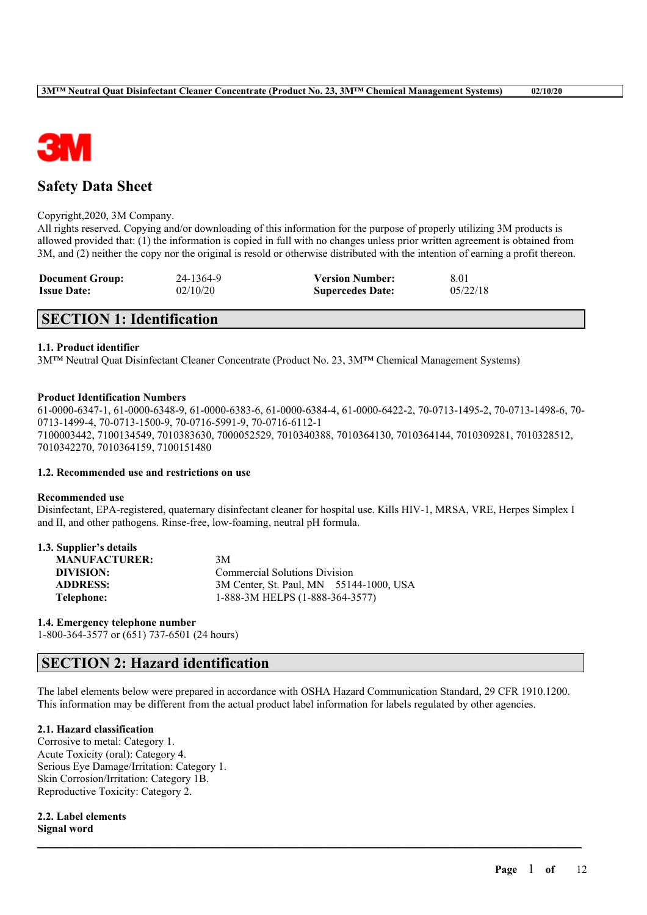

# **Safety Data Sheet**

### Copyright,2020, 3M Company.

All rights reserved. Copying and/or downloading of this information for the purpose of properly utilizing 3M products is allowed provided that: (1) the information is copied in full with no changes unless prior written agreement is obtained from 3M, and (2) neither the copy nor the original is resold or otherwise distributed with the intention of earning a profit thereon.

| <b>Document Group:</b> | 24-1364-9 | <b>Version Number:</b>  | 8.01     |
|------------------------|-----------|-------------------------|----------|
| <b>Issue Date:</b>     | 02/10/20  | <b>Supercedes Date:</b> | 05/22/18 |

# **SECTION 1: Identification**

### **1.1. Product identifier**

3M™ Neutral Quat Disinfectant Cleaner Concentrate (Product No. 23, 3M™ Chemical Management Systems)

### **Product Identification Numbers**

61-0000-6347-1, 61-0000-6348-9, 61-0000-6383-6, 61-0000-6384-4, 61-0000-6422-2, 70-0713-1495-2, 70-0713-1498-6, 70- 0713-1499-4, 70-0713-1500-9, 70-0716-5991-9, 70-0716-6112-1 7100003442, 7100134549, 7010383630, 7000052529, 7010340388, 7010364130, 7010364144, 7010309281, 7010328512, 7010342270, 7010364159, 7100151480

## **1.2. Recommended use and restrictions on use**

#### **Recommended use**

Disinfectant, EPA-registered, quaternary disinfectant cleaner for hospital use. Kills HIV-1, MRSA, VRE, Herpes Simplex I and II, and other pathogens. Rinse-free, low-foaming, neutral pH formula.

| 1.3. Supplier's details |                                         |  |
|-------------------------|-----------------------------------------|--|
| <b>MANUFACTURER:</b>    | 3M                                      |  |
| DIVISION:               | <b>Commercial Solutions Division</b>    |  |
| <b>ADDRESS:</b>         | 3M Center, St. Paul, MN 55144-1000, USA |  |
| Telephone:              | 1-888-3M HELPS (1-888-364-3577)         |  |

#### **1.4. Emergency telephone number**

1-800-364-3577 or (651) 737-6501 (24 hours)

# **SECTION 2: Hazard identification**

The label elements below were prepared in accordance with OSHA Hazard Communication Standard, 29 CFR 1910.1200. This information may be different from the actual product label information for labels regulated by other agencies.

 $\mathcal{L}_\mathcal{L} = \mathcal{L}_\mathcal{L} = \mathcal{L}_\mathcal{L} = \mathcal{L}_\mathcal{L} = \mathcal{L}_\mathcal{L} = \mathcal{L}_\mathcal{L} = \mathcal{L}_\mathcal{L} = \mathcal{L}_\mathcal{L} = \mathcal{L}_\mathcal{L} = \mathcal{L}_\mathcal{L} = \mathcal{L}_\mathcal{L} = \mathcal{L}_\mathcal{L} = \mathcal{L}_\mathcal{L} = \mathcal{L}_\mathcal{L} = \mathcal{L}_\mathcal{L} = \mathcal{L}_\mathcal{L} = \mathcal{L}_\mathcal{L}$ 

## **2.1. Hazard classification**

Corrosive to metal: Category 1. Acute Toxicity (oral): Category 4. Serious Eye Damage/Irritation: Category 1. Skin Corrosion/Irritation: Category 1B. Reproductive Toxicity: Category 2.

**2.2. Label elements Signal word**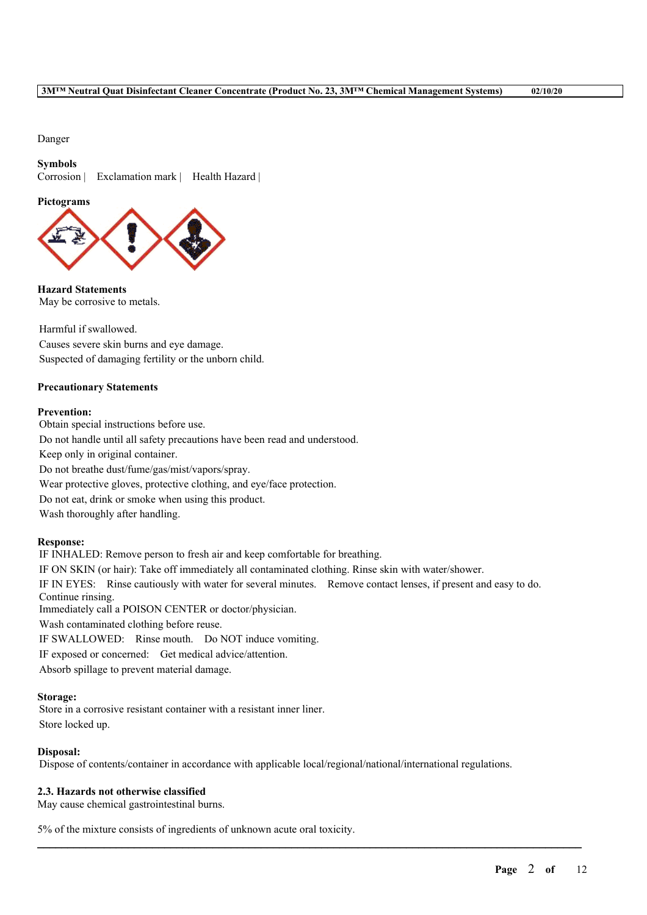## **3M™ Neutral Quat Disinfectant Cleaner Concentrate (Product No. 23, 3M™ Chemical Management Systems) 02/10/20**

Danger

# **Symbols**

Corrosion | Exclamation mark | Health Hazard |

### **Pictograms**



**Hazard Statements** May be corrosive to metals.

Harmful if swallowed. Causes severe skin burns and eye damage. Suspected of damaging fertility or the unborn child.

# **Precautionary Statements**

### **Prevention:**

Obtain special instructions before use. Do not handle until all safety precautions have been read and understood. Keep only in original container. Do not breathe dust/fume/gas/mist/vapors/spray. Wear protective gloves, protective clothing, and eye/face protection. Do not eat, drink or smoke when using this product. Wash thoroughly after handling.

## **Response:**

IF INHALED: Remove person to fresh air and keep comfortable for breathing. IF ON SKIN (or hair): Take off immediately all contaminated clothing. Rinse skin with water/shower. IF IN EYES: Rinse cautiously with water for several minutes. Remove contact lenses, if present and easy to do. Continue rinsing. Immediately call a POISON CENTER or doctor/physician. Wash contaminated clothing before reuse. IF SWALLOWED: Rinse mouth. Do NOT induce vomiting. IF exposed or concerned: Get medical advice/attention. Absorb spillage to prevent material damage.

## **Storage:**

Store in a corrosive resistant container with a resistant inner liner. Store locked up.

## **Disposal:**

Dispose of contents/container in accordance with applicable local/regional/national/international regulations.

 $\mathcal{L}_\mathcal{L} = \mathcal{L}_\mathcal{L} = \mathcal{L}_\mathcal{L} = \mathcal{L}_\mathcal{L} = \mathcal{L}_\mathcal{L} = \mathcal{L}_\mathcal{L} = \mathcal{L}_\mathcal{L} = \mathcal{L}_\mathcal{L} = \mathcal{L}_\mathcal{L} = \mathcal{L}_\mathcal{L} = \mathcal{L}_\mathcal{L} = \mathcal{L}_\mathcal{L} = \mathcal{L}_\mathcal{L} = \mathcal{L}_\mathcal{L} = \mathcal{L}_\mathcal{L} = \mathcal{L}_\mathcal{L} = \mathcal{L}_\mathcal{L}$ 

## **2.3. Hazards not otherwise classified**

May cause chemical gastrointestinal burns.

5% of the mixture consists of ingredients of unknown acute oral toxicity.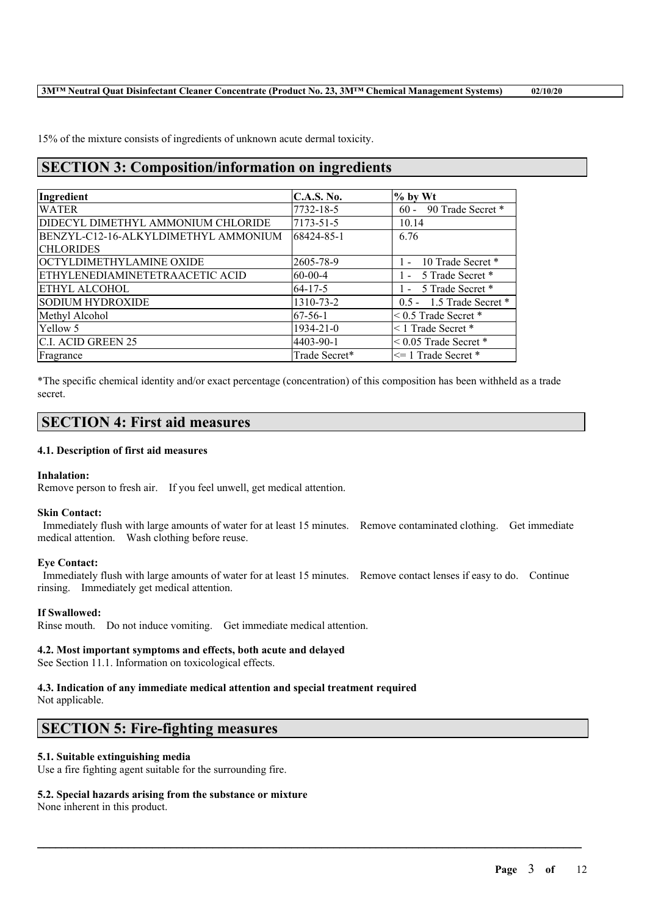15% of the mixture consists of ingredients of unknown acute dermal toxicity.

# **SECTION 3: Composition/information on ingredients**

| Ingredient                           | <b>C.A.S. No.</b> | $%$ by Wt                  |
|--------------------------------------|-------------------|----------------------------|
| <b>WATER</b>                         | 7732-18-5         | 60 - 90 Trade Secret *     |
| DIDECYL DIMETHYL AMMONIUM CHLORIDE   | 7173-51-5         | 10.14                      |
| BENZYL-C12-16-ALKYLDIMETHYL AMMONIUM | 68424-85-1        | 6.76                       |
| <b>CHLORIDES</b>                     |                   |                            |
| OCTYLDIMETHYLAMINE OXIDE             | 2605-78-9         | 10 Trade Secret *<br>$1 -$ |
| ETHYLENEDIAMINETETRAACETIC ACID      | $60 - 00 - 4$     | 1 - 5 Trade Secret *       |
| <b>ETHYL ALCOHOL</b>                 | $64-17-5$         | 1 - 5 Trade Secret *       |
| SODIUM HYDROXIDE                     | 1310-73-2         | 0.5 - 1.5 Trade Secret *   |
| Methyl Alcohol                       | $67-56-1$         | $< 0.5$ Trade Secret $*$   |
| Yellow 5                             | $1934 - 21 - 0$   | <1 Trade Secret *          |
| <b>C.I. ACID GREEN 25</b>            | 4403-90-1         | $< 0.05$ Trade Secret $*$  |
| Fragrance                            | Trade Secret*     | $\leq$ 1 Trade Secret *    |

\*The specific chemical identity and/or exact percentage (concentration) of this composition has been withheld as a trade secret.

# **SECTION 4: First aid measures**

## **4.1. Description of first aid measures**

## **Inhalation:**

Remove person to fresh air. If you feel unwell, get medical attention.

## **Skin Contact:**

Immediately flush with large amounts of water for at least 15 minutes. Remove contaminated clothing. Get immediate medical attention. Wash clothing before reuse.

## **Eye Contact:**

Immediately flush with large amounts of water for at least 15 minutes. Remove contact lenses if easy to do. Continue rinsing. Immediately get medical attention.

 $\mathcal{L}_\mathcal{L} = \mathcal{L}_\mathcal{L} = \mathcal{L}_\mathcal{L} = \mathcal{L}_\mathcal{L} = \mathcal{L}_\mathcal{L} = \mathcal{L}_\mathcal{L} = \mathcal{L}_\mathcal{L} = \mathcal{L}_\mathcal{L} = \mathcal{L}_\mathcal{L} = \mathcal{L}_\mathcal{L} = \mathcal{L}_\mathcal{L} = \mathcal{L}_\mathcal{L} = \mathcal{L}_\mathcal{L} = \mathcal{L}_\mathcal{L} = \mathcal{L}_\mathcal{L} = \mathcal{L}_\mathcal{L} = \mathcal{L}_\mathcal{L}$ 

# **If Swallowed:**

Rinse mouth. Do not induce vomiting. Get immediate medical attention.

## **4.2. Most important symptoms and effects, both acute and delayed**

See Section 11.1. Information on toxicological effects.

# **4.3. Indication of any immediate medical attention and special treatment required**

Not applicable.

# **SECTION 5: Fire-fighting measures**

# **5.1. Suitable extinguishing media**

Use a fire fighting agent suitable for the surrounding fire.

# **5.2. Special hazards arising from the substance or mixture**

None inherent in this product.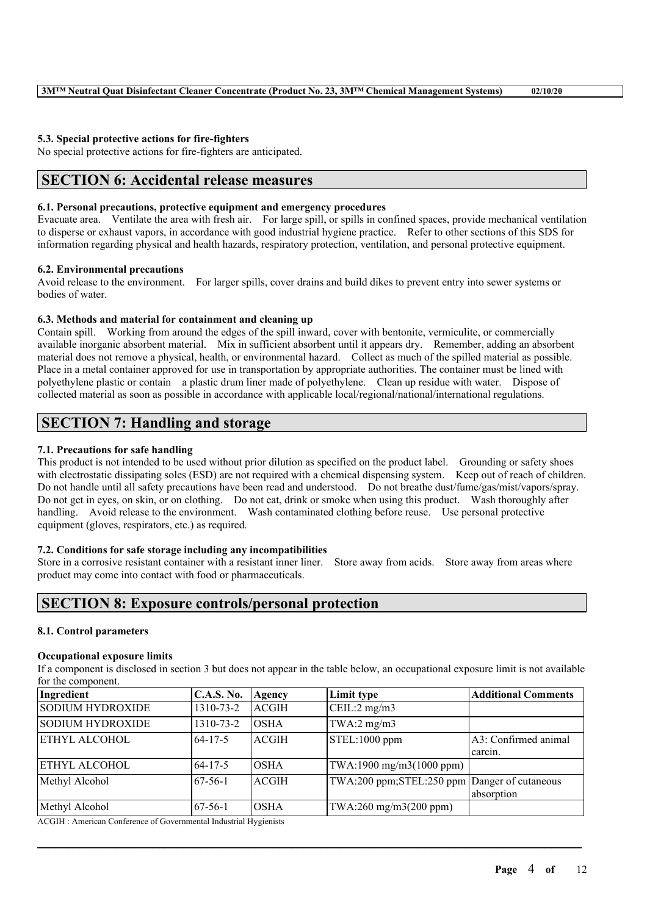### **5.3. Special protective actions for fire-fighters**

No special protective actions for fire-fighters are anticipated.

# **SECTION 6: Accidental release measures**

### **6.1. Personal precautions, protective equipment and emergency procedures**

Evacuate area. Ventilate the area with fresh air. For large spill, or spills in confined spaces, provide mechanical ventilation to disperse or exhaust vapors, in accordance with good industrial hygiene practice. Refer to other sections of this SDS for information regarding physical and health hazards, respiratory protection, ventilation, and personal protective equipment.

### **6.2. Environmental precautions**

Avoid release to the environment. For larger spills, cover drains and build dikes to prevent entry into sewer systems or bodies of water.

### **6.3. Methods and material for containment and cleaning up**

Contain spill. Working from around the edges of the spill inward, cover with bentonite, vermiculite, or commercially available inorganic absorbent material. Mix in sufficient absorbent until it appears dry. Remember, adding an absorbent material does not remove a physical, health, or environmental hazard. Collect as much of the spilled material as possible. Place in a metal container approved for use in transportation by appropriate authorities. The container must be lined with polyethylene plastic or contain a plastic drum liner made of polyethylene. Clean up residue with water. Dispose of collected material as soon as possible in accordance with applicable local/regional/national/international regulations.

# **SECTION 7: Handling and storage**

## **7.1. Precautions for safe handling**

This product is not intended to be used without prior dilution as specified on the product label. Grounding or safety shoes with electrostatic dissipating soles (ESD) are not required with a chemical dispensing system. Keep out of reach of children. Do not handle until all safety precautions have been read and understood. Do not breathe dust/fume/gas/mist/vapors/spray. Do not get in eyes, on skin, or on clothing. Do not eat, drink or smoke when using this product. Wash thoroughly after handling. Avoid release to the environment. Wash contaminated clothing before reuse. Use personal protective equipment (gloves, respirators, etc.) as required.

## **7.2. Conditions for safe storage including any incompatibilities**

Store in a corrosive resistant container with a resistant inner liner. Store away from acids. Store away from areas where product may come into contact with food or pharmaceuticals.

# **SECTION 8: Exposure controls/personal protection**

#### **8.1. Control parameters**

#### **Occupational exposure limits**

If a component is disclosed in section 3 but does not appear in the table below, an occupational exposure limit is not available for the component.

| Ingredient              | <b>C.A.S. No.</b> | Agency      | Limit type                                   | <b>Additional Comments</b> |
|-------------------------|-------------------|-------------|----------------------------------------------|----------------------------|
| <b>SODIUM HYDROXIDE</b> | 1310-73-2         | ACGIH       | $\vert$ CEIL:2 mg/m3                         |                            |
| <b>SODIUM HYDROXIDE</b> | 1310-73-2         | <b>OSHA</b> | $TWA:2$ mg/m $3$                             |                            |
| ETHYL ALCOHOL           | $64 - 17 - 5$     | ACGIH_      | STEL:1000 ppm                                | A3: Confirmed animal       |
|                         |                   |             |                                              | carcin.                    |
| <b>ETHYL ALCOHOL</b>    | $64 - 17 - 5$     | <b>OSHA</b> | TWA:1900 mg/m3(1000 ppm)                     |                            |
| Methyl Alcohol          | 67-56-1           | ACGIH_      | TWA:200 ppm;STEL:250 ppm Danger of cutaneous |                            |
|                         |                   |             |                                              | absorption                 |
| Methyl Alcohol          | $67-56-1$         | IOSHA       | TWA:260 mg/m3(200 ppm)                       |                            |

 $\mathcal{L}_\mathcal{L} = \mathcal{L}_\mathcal{L} = \mathcal{L}_\mathcal{L} = \mathcal{L}_\mathcal{L} = \mathcal{L}_\mathcal{L} = \mathcal{L}_\mathcal{L} = \mathcal{L}_\mathcal{L} = \mathcal{L}_\mathcal{L} = \mathcal{L}_\mathcal{L} = \mathcal{L}_\mathcal{L} = \mathcal{L}_\mathcal{L} = \mathcal{L}_\mathcal{L} = \mathcal{L}_\mathcal{L} = \mathcal{L}_\mathcal{L} = \mathcal{L}_\mathcal{L} = \mathcal{L}_\mathcal{L} = \mathcal{L}_\mathcal{L}$ 

ACGIH : American Conference of Governmental Industrial Hygienists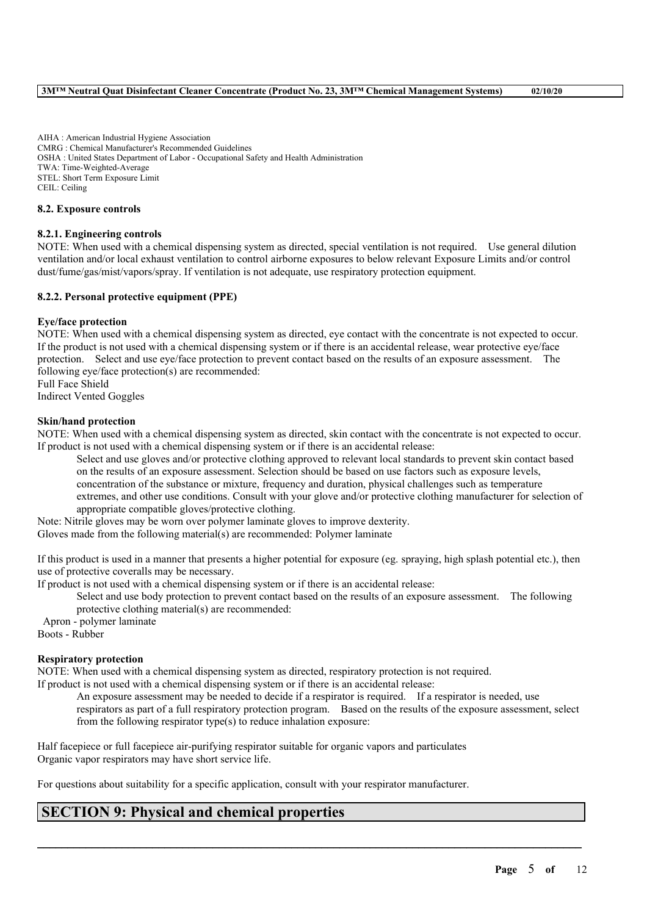AIHA : American Industrial Hygiene Association CMRG : Chemical Manufacturer's Recommended Guidelines OSHA : United States Department of Labor - Occupational Safety and Health Administration TWA: Time-Weighted-Average STEL: Short Term Exposure Limit CEIL: Ceiling

### **8.2. Exposure controls**

## **8.2.1. Engineering controls**

NOTE: When used with a chemical dispensing system as directed, special ventilation is not required. Use general dilution ventilation and/or local exhaust ventilation to control airborne exposures to below relevant Exposure Limits and/or control dust/fume/gas/mist/vapors/spray. If ventilation is not adequate, use respiratory protection equipment.

### **8.2.2. Personal protective equipment (PPE)**

### **Eye/face protection**

NOTE: When used with a chemical dispensing system as directed, eye contact with the concentrate is not expected to occur. If the product is not used with a chemical dispensing system or if there is an accidental release, wear protective eye/face protection. Select and use eye/face protection to prevent contact based on the results of an exposure assessment. The following eye/face protection(s) are recommended:

Full Face Shield Indirect Vented Goggles

### **Skin/hand protection**

NOTE: When used with a chemical dispensing system as directed, skin contact with the concentrate is not expected to occur. If product is not used with a chemical dispensing system or if there is an accidental release:

Select and use gloves and/or protective clothing approved to relevant local standards to prevent skin contact based on the results of an exposure assessment. Selection should be based on use factors such as exposure levels, concentration of the substance or mixture, frequency and duration, physical challenges such as temperature extremes, and other use conditions. Consult with your glove and/or protective clothing manufacturer for selection of appropriate compatible gloves/protective clothing.

Note: Nitrile gloves may be worn over polymer laminate gloves to improve dexterity.

Gloves made from the following material(s) are recommended: Polymer laminate

If this product is used in a manner that presents a higher potential for exposure (eg. spraying, high splash potential etc.), then use of protective coveralls may be necessary.

If product is not used with a chemical dispensing system or if there is an accidental release:

Select and use body protection to prevent contact based on the results of an exposure assessment. The following protective clothing material(s) are recommended:

Apron - polymer laminate Boots - Rubber

### **Respiratory protection**

NOTE: When used with a chemical dispensing system as directed, respiratory protection is not required.

If product is not used with a chemical dispensing system or if there is an accidental release:

An exposure assessment may be needed to decide if a respirator is required. If a respirator is needed, use respirators as part of a full respiratory protection program. Based on the results of the exposure assessment, select from the following respirator type(s) to reduce inhalation exposure:

 $\mathcal{L}_\mathcal{L} = \mathcal{L}_\mathcal{L} = \mathcal{L}_\mathcal{L} = \mathcal{L}_\mathcal{L} = \mathcal{L}_\mathcal{L} = \mathcal{L}_\mathcal{L} = \mathcal{L}_\mathcal{L} = \mathcal{L}_\mathcal{L} = \mathcal{L}_\mathcal{L} = \mathcal{L}_\mathcal{L} = \mathcal{L}_\mathcal{L} = \mathcal{L}_\mathcal{L} = \mathcal{L}_\mathcal{L} = \mathcal{L}_\mathcal{L} = \mathcal{L}_\mathcal{L} = \mathcal{L}_\mathcal{L} = \mathcal{L}_\mathcal{L}$ 

Half facepiece or full facepiece air-purifying respirator suitable for organic vapors and particulates Organic vapor respirators may have short service life.

For questions about suitability for a specific application, consult with your respirator manufacturer.

# **SECTION 9: Physical and chemical properties**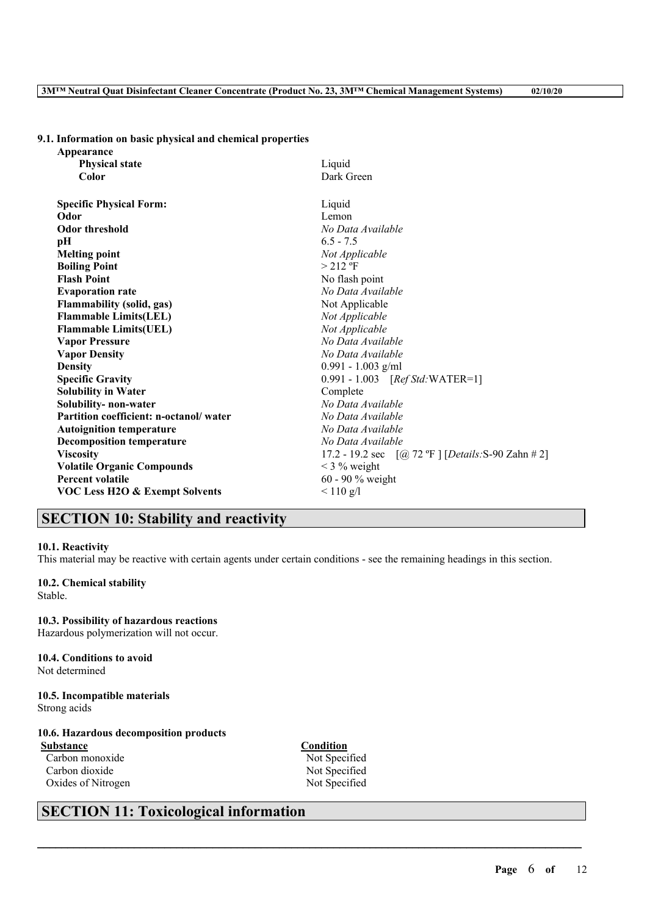# **9.1. Information on basic physical and chemical properties**

| Appearance                                |                                                      |  |
|-------------------------------------------|------------------------------------------------------|--|
| <b>Physical state</b>                     | Liquid                                               |  |
| Color                                     | Dark Green                                           |  |
|                                           |                                                      |  |
| <b>Specific Physical Form:</b>            | Liquid                                               |  |
| Odor                                      | Lemon                                                |  |
| <b>Odor threshold</b>                     | No Data Available                                    |  |
| pН                                        | $6.5 - 7.5$                                          |  |
| <b>Melting point</b>                      | Not Applicable                                       |  |
| <b>Boiling Point</b>                      | $>212$ °F                                            |  |
| <b>Flash Point</b>                        | No flash point                                       |  |
| <b>Evaporation rate</b>                   | No Data Available                                    |  |
| <b>Flammability (solid, gas)</b>          | Not Applicable                                       |  |
| <b>Flammable Limits(LEL)</b>              | Not Applicable                                       |  |
| <b>Flammable Limits(UEL)</b>              | Not Applicable                                       |  |
| <b>Vapor Pressure</b>                     | No Data Available                                    |  |
| <b>Vapor Density</b>                      | No Data Available                                    |  |
| <b>Density</b>                            | $0.991 - 1.003$ g/ml                                 |  |
| <b>Specific Gravity</b>                   | 0.991 - 1.003 [Ref Std: WATER=1]                     |  |
| <b>Solubility in Water</b>                | Complete                                             |  |
| Solubility- non-water                     | No Data Available                                    |  |
| Partition coefficient: n-octanol/water    | No Data Available                                    |  |
| <b>Autoignition temperature</b>           | No Data Available                                    |  |
| <b>Decomposition temperature</b>          | No Data Available                                    |  |
| <b>Viscosity</b>                          | 17.2 - 19.2 sec $[@ 72 °F]$ [Details: S-90 Zahn # 2] |  |
| <b>Volatile Organic Compounds</b>         | $<$ 3 % weight                                       |  |
| <b>Percent volatile</b>                   | 60 - 90 % weight                                     |  |
| <b>VOC Less H2O &amp; Exempt Solvents</b> | $< 110$ g/l                                          |  |
|                                           |                                                      |  |

# **SECTION 10: Stability and reactivity**

#### **10.1. Reactivity**

This material may be reactive with certain agents under certain conditions - see the remaining headings in this section.

#### **10.2. Chemical stability** Stable.

**10.3. Possibility of hazardous reactions** Hazardous polymerization will not occur.

**10.4. Conditions to avoid** Not determined

### **10.5. Incompatible materials** Strong acids

# **10.6. Hazardous decomposition products**

**Substance Condition** Carbon monoxide Not Specified<br>Carbon dioxide Not Specified Carbon dioxide Oxides of Nitrogen Not Specified

 $\mathcal{L}_\mathcal{L} = \mathcal{L}_\mathcal{L} = \mathcal{L}_\mathcal{L} = \mathcal{L}_\mathcal{L} = \mathcal{L}_\mathcal{L} = \mathcal{L}_\mathcal{L} = \mathcal{L}_\mathcal{L} = \mathcal{L}_\mathcal{L} = \mathcal{L}_\mathcal{L} = \mathcal{L}_\mathcal{L} = \mathcal{L}_\mathcal{L} = \mathcal{L}_\mathcal{L} = \mathcal{L}_\mathcal{L} = \mathcal{L}_\mathcal{L} = \mathcal{L}_\mathcal{L} = \mathcal{L}_\mathcal{L} = \mathcal{L}_\mathcal{L}$ 

# **SECTION 11: Toxicological information**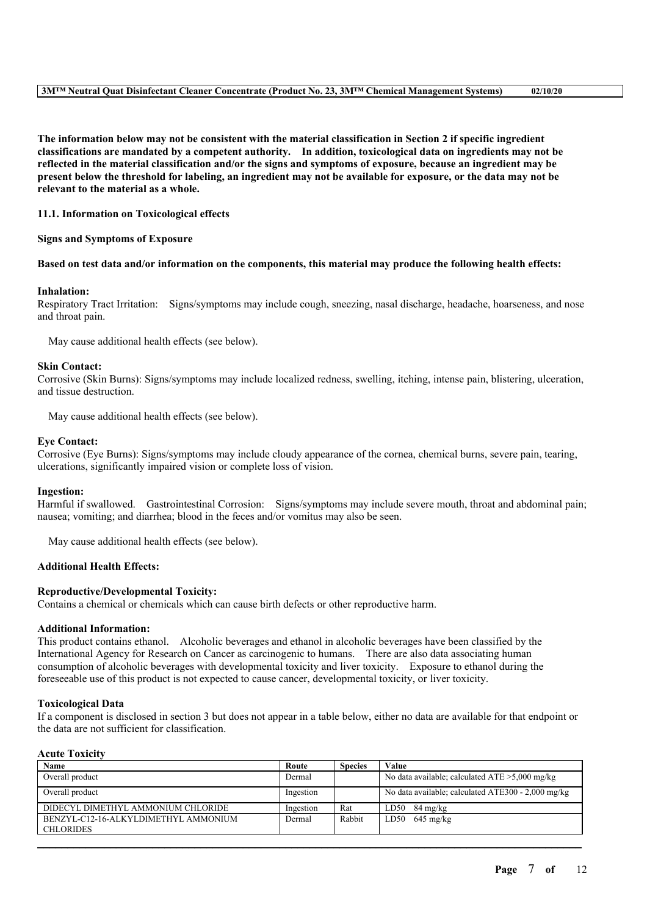The information below may not be consistent with the material classification in Section 2 if specific ingredient **classifications are mandated by a competent authority. In addition, toxicological data on ingredients may not be** reflected in the material classification and/or the signs and symptoms of exposure, because an ingredient may be present below the threshold for labeling, an ingredient may not be available for exposure, or the data may not be **relevant to the material as a whole.**

### **11.1. Information on Toxicological effects**

#### **Signs and Symptoms of Exposure**

#### Based on test data and/or information on the components, this material may produce the following health effects:

#### **Inhalation:**

Respiratory Tract Irritation: Signs/symptoms may include cough, sneezing, nasal discharge, headache, hoarseness, and nose and throat pain.

May cause additional health effects (see below).

#### **Skin Contact:**

Corrosive (Skin Burns): Signs/symptoms may include localized redness, swelling, itching, intense pain, blistering, ulceration, and tissue destruction.

May cause additional health effects (see below).

#### **Eye Contact:**

Corrosive (Eye Burns): Signs/symptoms may include cloudy appearance of the cornea, chemical burns, severe pain, tearing, ulcerations, significantly impaired vision or complete loss of vision.

#### **Ingestion:**

Harmful if swallowed. Gastrointestinal Corrosion: Signs/symptoms may include severe mouth, throat and abdominal pain; nausea; vomiting; and diarrhea; blood in the feces and/or vomitus may also be seen.

May cause additional health effects (see below).

## **Additional Health Effects:**

#### **Reproductive/Developmental Toxicity:**

Contains a chemical or chemicals which can cause birth defects or other reproductive harm.

### **Additional Information:**

This product contains ethanol. Alcoholic beverages and ethanol in alcoholic beverages have been classified by the International Agency for Research on Cancer as carcinogenic to humans. There are also data associating human consumption of alcoholic beverages with developmental toxicity and liver toxicity. Exposure to ethanol during the foreseeable use of this product is not expected to cause cancer, developmental toxicity, or liver toxicity.

#### **Toxicological Data**

If a component is disclosed in section 3 but does not appear in a table below, either no data are available for that endpoint or the data are not sufficient for classification.

### **Acute Toxicity**

| Name                                                     | Route     | <b>Species</b> | Value                                              |
|----------------------------------------------------------|-----------|----------------|----------------------------------------------------|
| Overall product                                          | Dermal    |                | No data available; calculated $ATE > 5,000$ mg/kg  |
| Overall product                                          | Ingestion |                | No data available; calculated ATE300 - 2,000 mg/kg |
| DIDECYL DIMETHYL AMMONIUM CHLORIDE                       | Ingestion | Rat            | LD50<br>84 mg/kg                                   |
| BENZYL-C12-16-ALKYLDIMETHYL AMMONIUM<br><b>CHLORIDES</b> | Dermal    | Rabbit         | LD50 $645 \text{ mg/kg}$                           |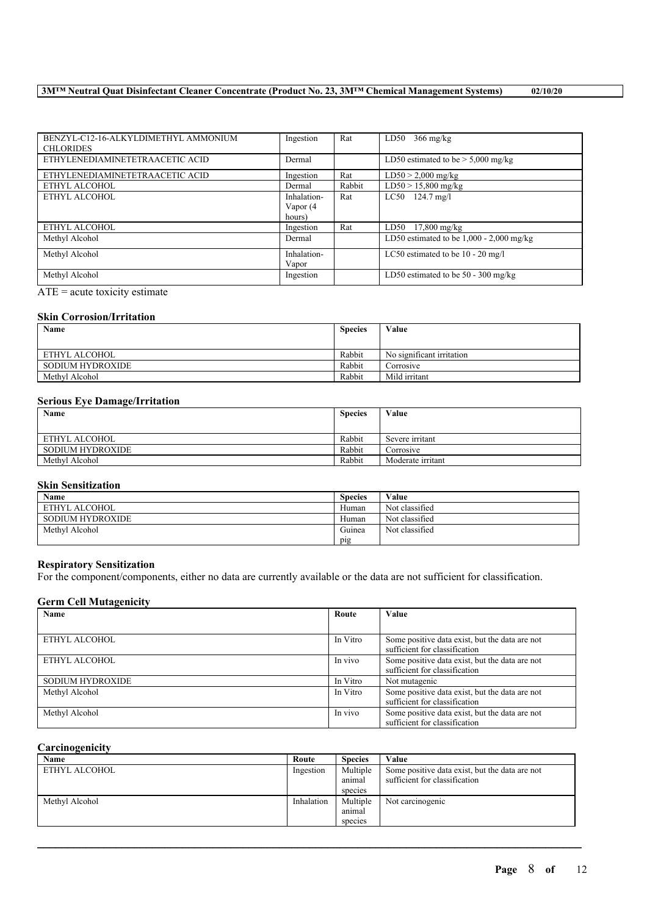# **3M™ Neutral Quat Disinfectant Cleaner Concentrate (Product No. 23, 3M™ Chemical Management Systems) 02/10/20**

| BENZYL-C12-16-ALKYLDIMETHYL AMMONIUM<br><b>CHLORIDES</b> | Ingestion   | Rat    | $366 \text{ mg/kg}$<br>LD50                |
|----------------------------------------------------------|-------------|--------|--------------------------------------------|
| ETHYLENEDIAMINETETRAACETIC ACID                          | Dermal      |        | LD50 estimated to be $> 5,000$ mg/kg       |
| ETHYLENEDIAMINETETRAACETIC ACID                          | Ingestion   | Rat    | $LD50 > 2,000$ mg/kg                       |
| ETHYL ALCOHOL                                            | Dermal      | Rabbit | $LD50 > 15,800$ mg/kg                      |
| ETHYL ALCOHOL                                            | Inhalation- | Rat    | $LC50$ 124.7 mg/l                          |
|                                                          | Vapor (4    |        |                                            |
|                                                          | hours)      |        |                                            |
| ETHYL ALCOHOL                                            | Ingestion   | Rat    | $LD50$ 17,800 mg/kg                        |
| Methyl Alcohol                                           | Dermal      |        | LD50 estimated to be $1,000 - 2,000$ mg/kg |
| Methyl Alcohol                                           | Inhalation- |        | LC50 estimated to be $10 - 20$ mg/l        |
|                                                          | Vapor       |        |                                            |
| Methyl Alcohol                                           | Ingestion   |        | LD50 estimated to be $50 - 300$ mg/kg      |

 $\overline{ATE}$  = acute toxicity estimate

# **Skin Corrosion/Irritation**

| Name             | <b>Species</b> | Value                     |
|------------------|----------------|---------------------------|
|                  |                |                           |
| ETHYL ALCOHOL    | Rabbit         | No significant irritation |
| SODIUM HYDROXIDE | Rabbit         | Corrosive                 |
| Methyl Alcohol   | Rabbit         | Mild irritant             |

## **Serious Eye Damage/Irritation**

| Name                    | <b>Species</b> | Value             |
|-------------------------|----------------|-------------------|
|                         |                |                   |
| ETHYL ALCOHOL           | Rabbit         | Severe irritant   |
| <b>SODIUM HYDROXIDE</b> | Rabbit         | Corrosive         |
| Methyl Alcohol          | Rabbit         | Moderate irritant |

# **Skin Sensitization**

| Name                    | <b>Species</b> | Value          |
|-------------------------|----------------|----------------|
| ETHYL ALCOHOL           | Human          | Not classified |
| <b>SODIUM HYDROXIDE</b> | Human          | Not classified |
| Methyl Alcohol          | Guinea         | Not classified |
|                         | pig            |                |

# **Respiratory Sensitization**

For the component/components, either no data are currently available or the data are not sufficient for classification.

# **Germ Cell Mutagenicity**

| Name                    | Route    | Value                                                                           |
|-------------------------|----------|---------------------------------------------------------------------------------|
|                         |          |                                                                                 |
| ETHYL ALCOHOL           | In Vitro | Some positive data exist, but the data are not<br>sufficient for classification |
| ETHYL ALCOHOL           | In vivo  | Some positive data exist, but the data are not<br>sufficient for classification |
| <b>SODIUM HYDROXIDE</b> | In Vitro | Not mutagenic                                                                   |
| Methyl Alcohol          | In Vitro | Some positive data exist, but the data are not<br>sufficient for classification |
| Methyl Alcohol          | In vivo  | Some positive data exist, but the data are not<br>sufficient for classification |

## **Carcinogenicity**

| Name           | Route      | <b>Species</b>     | Value                                                                           |
|----------------|------------|--------------------|---------------------------------------------------------------------------------|
| ETHYL ALCOHOL  | Ingestion  | Multiple<br>animal | Some positive data exist, but the data are not<br>sufficient for classification |
|                |            | species            |                                                                                 |
| Methyl Alcohol | Inhalation | Multiple           | Not carcinogenic                                                                |
|                |            | anımal             |                                                                                 |
|                |            | species            |                                                                                 |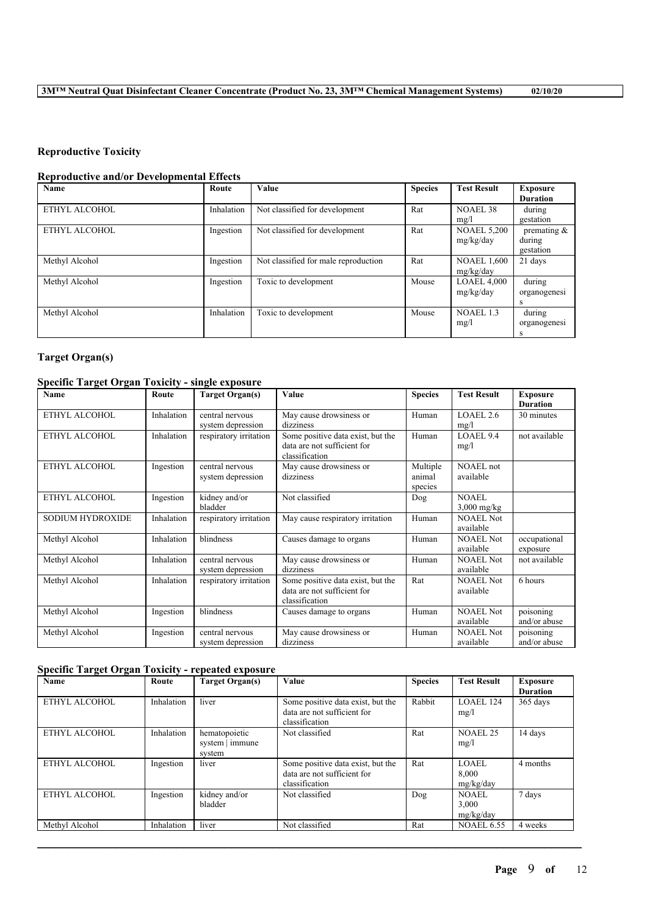# **Reproductive Toxicity**

## **Reproductive and/or Developmental Effects**

| Name           | Route      | Value                                | <b>Species</b> | <b>Test Result</b> | <b>Exposure</b> |
|----------------|------------|--------------------------------------|----------------|--------------------|-----------------|
|                |            |                                      |                |                    | <b>Duration</b> |
| ETHYL ALCOHOL  | Inhalation | Not classified for development       | Rat            | NOAEL 38           | during          |
|                |            |                                      |                | mg/l               | gestation       |
| ETHYL ALCOHOL  | Ingestion  | Not classified for development       | Rat            | <b>NOAEL 5,200</b> | premating $\&$  |
|                |            |                                      |                | mg/kg/day          | during          |
|                |            |                                      |                |                    | gestation       |
| Methyl Alcohol | Ingestion  | Not classified for male reproduction | Rat            | <b>NOAEL 1,600</b> | 21 days         |
|                |            |                                      |                | mg/kg/day          |                 |
| Methyl Alcohol | Ingestion  | Toxic to development                 | Mouse          | <b>LOAEL 4,000</b> | during          |
|                |            |                                      |                | mg/kg/day          | organogenesi    |
|                |            |                                      |                |                    | s               |
| Methyl Alcohol | Inhalation | Toxic to development                 | Mouse          | NOAEL1.3           | during          |
|                |            |                                      |                | mg/l               | organogenesi    |
|                |            |                                      |                |                    |                 |

# **Target Organ(s)**

# **Specific Target Organ Toxicity - single exposure**

| -<br>Name               | Route      | <b>Target Organ(s)</b>               | Value                                                                              | <b>Species</b>                | <b>Test Result</b>            | <b>Exposure</b><br><b>Duration</b> |
|-------------------------|------------|--------------------------------------|------------------------------------------------------------------------------------|-------------------------------|-------------------------------|------------------------------------|
| ETHYL ALCOHOL           | Inhalation | central nervous<br>system depression | May cause drowsiness or<br>dizziness                                               | Human                         | LOAEL 2.6<br>mg/l             | 30 minutes                         |
| ETHYL ALCOHOL           | Inhalation | respiratory irritation               | Some positive data exist, but the<br>data are not sufficient for<br>classification | Human                         | LOAEL 9.4<br>mg/l             | not available                      |
| ETHYL ALCOHOL           | Ingestion  | central nervous<br>system depression | May cause drowsiness or<br>dizziness                                               | Multiple<br>animal<br>species | <b>NOAEL</b> not<br>available |                                    |
| ETHYL ALCOHOL           | Ingestion  | kidney and/or<br>bladder             | Not classified                                                                     | Dog                           | <b>NOAEL</b><br>$3,000$ mg/kg |                                    |
| <b>SODIUM HYDROXIDE</b> | Inhalation | respiratory irritation               | May cause respiratory irritation                                                   | Human                         | <b>NOAEL Not</b><br>available |                                    |
| Methyl Alcohol          | Inhalation | blindness                            | Causes damage to organs                                                            | Human                         | <b>NOAEL Not</b><br>available | occupational<br>exposure           |
| Methyl Alcohol          | Inhalation | central nervous<br>system depression | May cause drowsiness or<br>dizziness                                               | Human                         | <b>NOAEL Not</b><br>available | not available                      |
| Methyl Alcohol          | Inhalation | respiratory irritation               | Some positive data exist, but the<br>data are not sufficient for<br>classification | Rat                           | <b>NOAEL Not</b><br>available | 6 hours                            |
| Methyl Alcohol          | Ingestion  | blindness                            | Causes damage to organs                                                            | Human                         | <b>NOAEL Not</b><br>available | poisoning<br>and/or abuse          |
| Methyl Alcohol          | Ingestion  | central nervous<br>system depression | May cause drowsiness or<br>dizziness                                               | Human                         | <b>NOAEL Not</b><br>available | poisoning<br>and/or abuse          |

# **Specific Target Organ Toxicity - repeated exposure**

| <b>Name</b>    | Route      | <b>Target Organ(s)</b>                     | Value                                                                              | <b>Species</b> | <b>Test Result</b>                 | <b>Exposure</b><br><b>Duration</b> |
|----------------|------------|--------------------------------------------|------------------------------------------------------------------------------------|----------------|------------------------------------|------------------------------------|
| ETHYL ALCOHOL  | Inhalation | liver                                      | Some positive data exist, but the<br>data are not sufficient for<br>classification | Rabbit         | $LOAEL$ 124<br>mg/l                | 365 days                           |
| ETHYL ALCOHOL  | Inhalation | hematopoietic<br>system   immune<br>system | Not classified                                                                     | Rat            | <b>NOAEL 25</b><br>mg/l            | 14 days                            |
| ETHYL ALCOHOL  | Ingestion  | liver                                      | Some positive data exist, but the<br>data are not sufficient for<br>classification | Rat            | LOAEL<br>8.000<br>mg/kg/day        | 4 months                           |
| ETHYL ALCOHOL  | Ingestion  | kidney and/or<br>bladder                   | Not classified                                                                     | Dog            | <b>NOAEL</b><br>3,000<br>mg/kg/day | 7 days                             |
| Methyl Alcohol | Inhalation | liver                                      | Not classified                                                                     | Rat            | <b>NOAEL 6.55</b>                  | 4 weeks                            |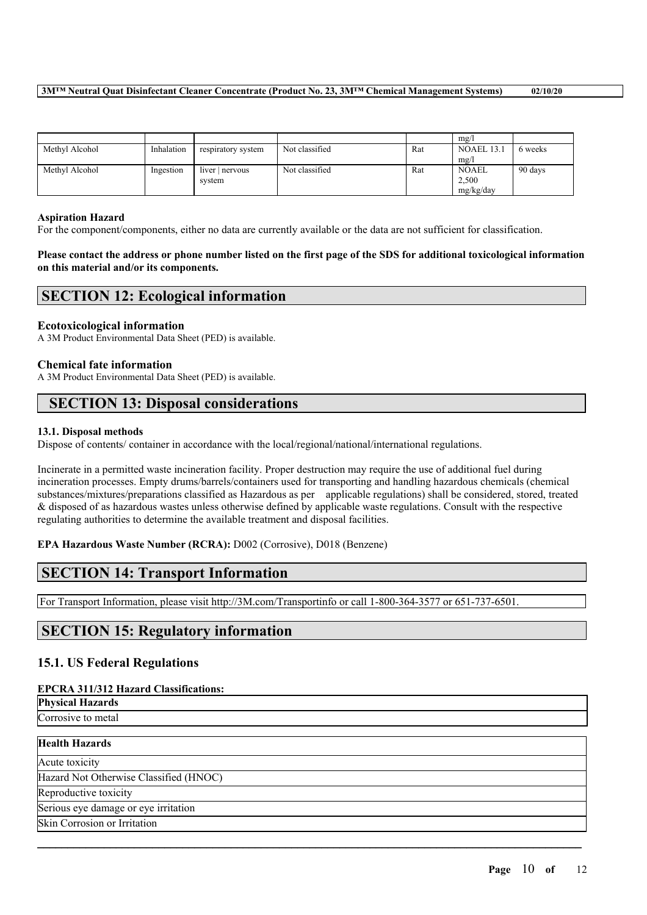|                |            |                    |                |     | mg/l              |         |
|----------------|------------|--------------------|----------------|-----|-------------------|---------|
| Methyl Alcohol | Inhalation | respiratory system | Not classified | Rat | <b>NOAEL 13.1</b> | 6 weeks |
|                |            |                    |                |     | mg/l              |         |
| Methyl Alcohol | Ingestion  | $liver$ nervous    | Not classified | Rat | <b>NOAEL</b>      | 90 days |
|                |            | system             |                |     | 2,500             |         |
|                |            |                    |                |     | mg/kg/day         |         |

### **Aspiration Hazard**

For the component/components, either no data are currently available or the data are not sufficient for classification.

Please contact the address or phone number listed on the first page of the SDS for additional toxicological information **on this material and/or its components.**

# **SECTION 12: Ecological information**

### **Ecotoxicological information**

A 3M Product Environmental Data Sheet (PED) is available.

### **Chemical fate information**

A 3M Product Environmental Data Sheet (PED) is available.

# **SECTION 13: Disposal considerations**

### **13.1. Disposal methods**

Dispose of contents/ container in accordance with the local/regional/national/international regulations.

Incinerate in a permitted waste incineration facility. Proper destruction may require the use of additional fuel during incineration processes. Empty drums/barrels/containers used for transporting and handling hazardous chemicals (chemical substances/mixtures/preparations classified as Hazardous as per applicable regulations) shall be considered, stored, treated & disposed of as hazardous wastes unless otherwise defined by applicable waste regulations. Consult with the respective regulating authorities to determine the available treatment and disposal facilities.

**EPA Hazardous Waste Number (RCRA):** D002 (Corrosive), D018 (Benzene)

# **SECTION 14: Transport Information**

For Transport Information, please visit http://3M.com/Transportinfo or call 1-800-364-3577 or 651-737-6501.

# **SECTION 15: Regulatory information**

# **15.1. US Federal Regulations**

#### **EPCRA 311/312 Hazard Classifications:**

**Physical Hazards** Corrosive to metal

| <b>Health Hazards</b>                  |  |
|----------------------------------------|--|
| Acute toxicity                         |  |
| Hazard Not Otherwise Classified (HNOC) |  |
| Reproductive toxicity                  |  |
| Serious eye damage or eye irritation   |  |
| Skin Corrosion or Irritation           |  |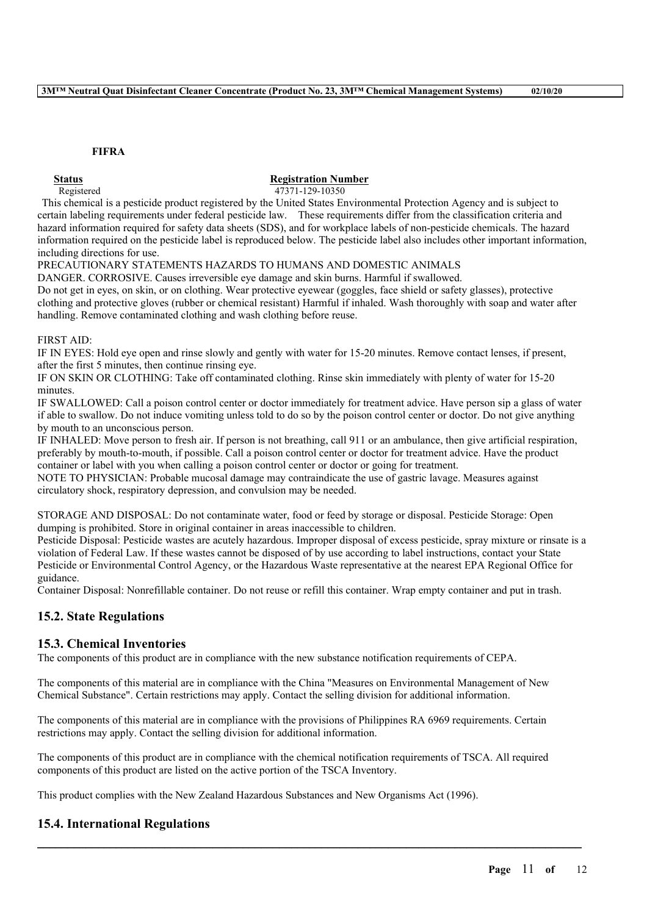### **FIFRA**

### **Status Registration Number**

Registered 47371-129-10350

This chemical is a pesticide product registered by the United States Environmental Protection Agency and is subject to certain labeling requirements under federal pesticide law. These requirements differ from the classification criteria and hazard information required for safety data sheets (SDS), and for workplace labels of non-pesticide chemicals. The hazard information required on the pesticide label is reproduced below. The pesticide label also includes other important information, including directions for use.

PRECAUTIONARY STATEMENTS HAZARDS TO HUMANS AND DOMESTIC ANIMALS

DANGER. CORROSIVE. Causes irreversible eye damage and skin burns. Harmful if swallowed.

Do not get in eyes, on skin, or on clothing. Wear protective eyewear (goggles, face shield or safety glasses), protective clothing and protective gloves (rubber or chemical resistant) Harmful if inhaled. Wash thoroughly with soap and water after handling. Remove contaminated clothing and wash clothing before reuse.

#### FIRST AID:

IF IN EYES: Hold eye open and rinse slowly and gently with water for 15-20 minutes. Remove contact lenses, if present, after the first 5 minutes, then continue rinsing eye.

IF ON SKIN OR CLOTHING: Take off contaminated clothing. Rinse skin immediately with plenty of water for 15-20 minutes.

IF SWALLOWED: Call a poison control center or doctor immediately for treatment advice. Have person sip a glass of water if able to swallow. Do not induce vomiting unless told to do so by the poison control center or doctor. Do not give anything by mouth to an unconscious person.

IF INHALED: Move person to fresh air. If person is not breathing, call 911 or an ambulance, then give artificial respiration, preferably by mouth-to-mouth, if possible. Call a poison control center or doctor for treatment advice. Have the product container or label with you when calling a poison control center or doctor or going for treatment.

NOTE TO PHYSICIAN: Probable mucosal damage may contraindicate the use of gastric lavage. Measures against circulatory shock, respiratory depression, and convulsion may be needed.

STORAGE AND DISPOSAL: Do not contaminate water, food or feed by storage or disposal. Pesticide Storage: Open dumping is prohibited. Store in original container in areas inaccessible to children.

Pesticide Disposal: Pesticide wastes are acutely hazardous. Improper disposal of excess pesticide, spray mixture or rinsate is a violation of Federal Law. If these wastes cannot be disposed of by use according to label instructions, contact your State Pesticide or Environmental Control Agency, or the Hazardous Waste representative at the nearest EPA Regional Office for guidance.

Container Disposal: Nonrefillable container. Do not reuse or refill this container. Wrap empty container and put in trash.

# **15.2. State Regulations**

## **15.3. Chemical Inventories**

The components of this product are in compliance with the new substance notification requirements of CEPA.

The components of this material are in compliance with the China "Measures on Environmental Management of New Chemical Substance". Certain restrictions may apply. Contact the selling division for additional information.

The components of this material are in compliance with the provisions of Philippines RA 6969 requirements. Certain restrictions may apply. Contact the selling division for additional information.

The components of this product are in compliance with the chemical notification requirements of TSCA. All required components of this product are listed on the active portion of the TSCA Inventory.

 $\mathcal{L}_\mathcal{L} = \mathcal{L}_\mathcal{L} = \mathcal{L}_\mathcal{L} = \mathcal{L}_\mathcal{L} = \mathcal{L}_\mathcal{L} = \mathcal{L}_\mathcal{L} = \mathcal{L}_\mathcal{L} = \mathcal{L}_\mathcal{L} = \mathcal{L}_\mathcal{L} = \mathcal{L}_\mathcal{L} = \mathcal{L}_\mathcal{L} = \mathcal{L}_\mathcal{L} = \mathcal{L}_\mathcal{L} = \mathcal{L}_\mathcal{L} = \mathcal{L}_\mathcal{L} = \mathcal{L}_\mathcal{L} = \mathcal{L}_\mathcal{L}$ 

This product complies with the New Zealand Hazardous Substances and New Organisms Act (1996).

# **15.4. International Regulations**